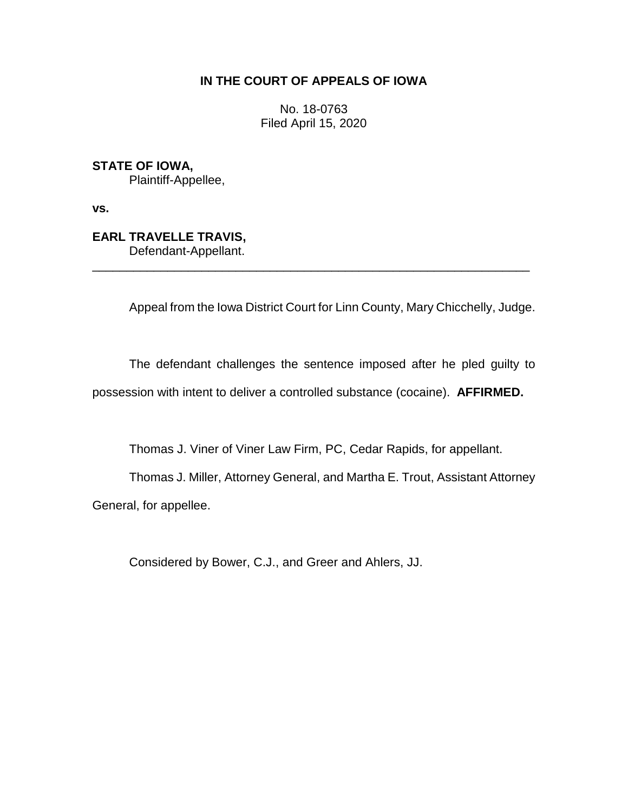## **IN THE COURT OF APPEALS OF IOWA**

No. 18-0763 Filed April 15, 2020

**STATE OF IOWA,**

Plaintiff-Appellee,

**vs.**

## **EARL TRAVELLE TRAVIS,**

Defendant-Appellant.

Appeal from the Iowa District Court for Linn County, Mary Chicchelly, Judge.

The defendant challenges the sentence imposed after he pled guilty to possession with intent to deliver a controlled substance (cocaine). **AFFIRMED.**

\_\_\_\_\_\_\_\_\_\_\_\_\_\_\_\_\_\_\_\_\_\_\_\_\_\_\_\_\_\_\_\_\_\_\_\_\_\_\_\_\_\_\_\_\_\_\_\_\_\_\_\_\_\_\_\_\_\_\_\_\_\_\_\_

Thomas J. Viner of Viner Law Firm, PC, Cedar Rapids, for appellant.

Thomas J. Miller, Attorney General, and Martha E. Trout, Assistant Attorney General, for appellee.

Considered by Bower, C.J., and Greer and Ahlers, JJ.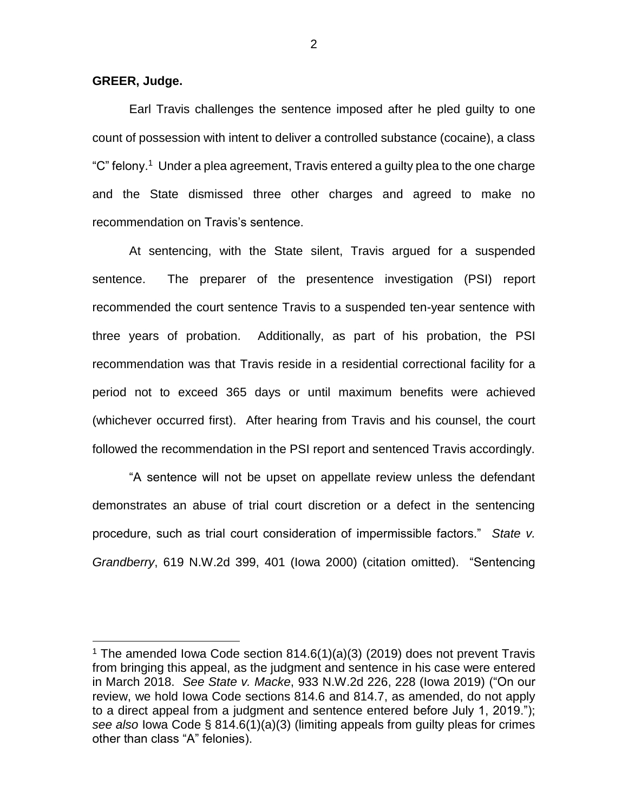**GREER, Judge.**

 $\overline{a}$ 

Earl Travis challenges the sentence imposed after he pled guilty to one count of possession with intent to deliver a controlled substance (cocaine), a class "C" felony.<sup>1</sup> Under a plea agreement, Travis entered a guilty plea to the one charge and the State dismissed three other charges and agreed to make no recommendation on Travis's sentence.

At sentencing, with the State silent, Travis argued for a suspended sentence. The preparer of the presentence investigation (PSI) report recommended the court sentence Travis to a suspended ten-year sentence with three years of probation. Additionally, as part of his probation, the PSI recommendation was that Travis reside in a residential correctional facility for a period not to exceed 365 days or until maximum benefits were achieved (whichever occurred first). After hearing from Travis and his counsel, the court followed the recommendation in the PSI report and sentenced Travis accordingly.

"A sentence will not be upset on appellate review unless the defendant demonstrates an abuse of trial court discretion or a defect in the sentencing procedure, such as trial court consideration of impermissible factors." *State v. Grandberry*, 619 N.W.2d 399, 401 (Iowa 2000) (citation omitted). "Sentencing

2

<sup>&</sup>lt;sup>1</sup> The amended Iowa Code section  $814.6(1)(a)(3)(2019)$  does not prevent Travis from bringing this appeal, as the judgment and sentence in his case were entered in March 2018. *See State v. Macke*[, 933 N.W.2d 226, 228 \(Iowa 2019\)](https://1.next.westlaw.com/Link/Document/FullText?findType=Y&serNum=2049176092&pubNum=0000595&originatingDoc=I26f54b1048bd11ea959390ec898a3607&refType=RP&fi=co_pp_sp_595_228&originationContext=document&transitionType=DocumentItem&contextData=(sc.Search)#co_pp_sp_595_228) ("On our review, we hold [Iowa Code sections 814.6](https://1.next.westlaw.com/Link/Document/FullText?findType=L&pubNum=1000256&cite=IASTS814.6&originatingDoc=I26f54b1048bd11ea959390ec898a3607&refType=LQ&originationContext=document&transitionType=DocumentItem&contextData=(sc.Search)) and [814.7,](https://1.next.westlaw.com/Link/Document/FullText?findType=L&pubNum=1000256&cite=IASTS814.7&originatingDoc=I26f54b1048bd11ea959390ec898a3607&refType=LQ&originationContext=document&transitionType=DocumentItem&contextData=(sc.Search)) as amended, do not apply to a direct appeal from a judgment and sentence entered before July 1, 2019."); *see also* [Iowa Code § 814.6\(1\)\(a\)\(3\)](https://1.next.westlaw.com/Link/Document/FullText?findType=L&pubNum=1000256&cite=IASTS814.6&originatingDoc=I26f54b1048bd11ea959390ec898a3607&refType=LQ&originationContext=document&transitionType=DocumentItem&contextData=(sc.Search)) (limiting appeals from guilty pleas for crimes other than class "A" felonies).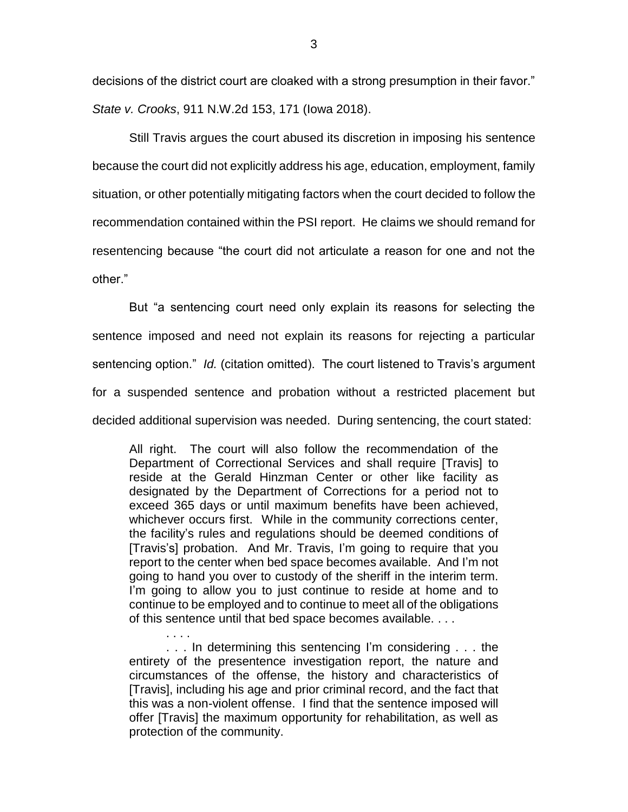decisions of the district court are cloaked with a strong presumption in their favor." *State v. Crooks*, 911 N.W.2d 153, 171 (Iowa 2018).

Still Travis argues the court abused its discretion in imposing his sentence because the court did not explicitly address his age, education, employment, family situation, or other potentially mitigating factors when the court decided to follow the recommendation contained within the PSI report. He claims we should remand for resentencing because "the court did not articulate a reason for one and not the other."

But "a sentencing court need only explain its reasons for selecting the sentence imposed and need not explain its reasons for rejecting a particular sentencing option." *Id.* (citation omitted). The court listened to Travis's argument for a suspended sentence and probation without a restricted placement but decided additional supervision was needed. During sentencing, the court stated:

All right. The court will also follow the recommendation of the Department of Correctional Services and shall require [Travis] to reside at the Gerald Hinzman Center or other like facility as designated by the Department of Corrections for a period not to exceed 365 days or until maximum benefits have been achieved, whichever occurs first. While in the community corrections center, the facility's rules and regulations should be deemed conditions of [Travis's] probation. And Mr. Travis, I'm going to require that you report to the center when bed space becomes available. And I'm not going to hand you over to custody of the sheriff in the interim term. I'm going to allow you to just continue to reside at home and to continue to be employed and to continue to meet all of the obligations of this sentence until that bed space becomes available. . . .

. . . In determining this sentencing I'm considering . . . the entirety of the presentence investigation report, the nature and circumstances of the offense, the history and characteristics of [Travis], including his age and prior criminal record, and the fact that this was a non-violent offense. I find that the sentence imposed will offer [Travis] the maximum opportunity for rehabilitation, as well as protection of the community.

. . . .